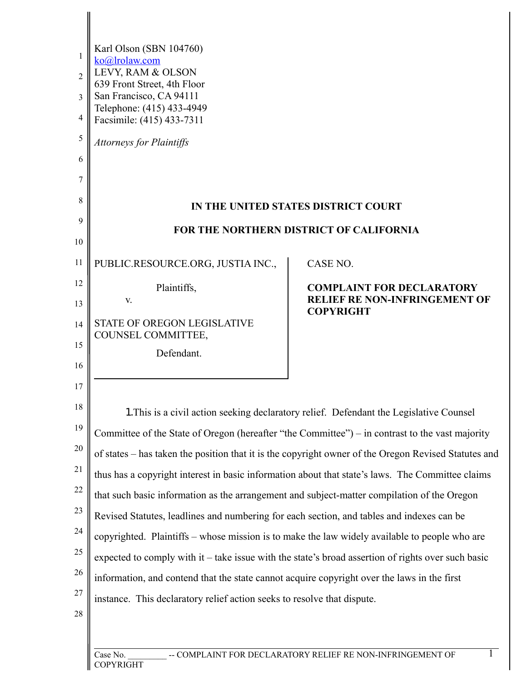| 1<br>$\overline{2}$<br>3<br>4<br>5<br>6<br>7<br>8 | Karl Olson (SBN 104760)<br>ko@lrolaw.com<br>LEVY, RAM & OLSON<br>639 Front Street, 4th Floor<br>San Francisco, CA 94111<br>Telephone: (415) 433-4949<br>Facsimile: (415) 433-7311<br><b>Attorneys for Plaintiffs</b> | IN THE UNITED STATES DISTRICT COURT                                                                  |  |
|---------------------------------------------------|----------------------------------------------------------------------------------------------------------------------------------------------------------------------------------------------------------------------|------------------------------------------------------------------------------------------------------|--|
| 9                                                 | <b>FOR THE NORTHERN DISTRICT OF CALIFORNIA</b>                                                                                                                                                                       |                                                                                                      |  |
| 10                                                |                                                                                                                                                                                                                      |                                                                                                      |  |
| 11                                                | PUBLIC.RESOURCE.ORG, JUSTIA INC.,                                                                                                                                                                                    | CASE NO.                                                                                             |  |
| 12                                                | Plaintiffs,                                                                                                                                                                                                          | <b>COMPLAINT FOR DECLARATORY</b>                                                                     |  |
| 13                                                | V.                                                                                                                                                                                                                   | <b>RELIEF RE NON-INFRINGEMENT OF</b><br><b>COPYRIGHT</b>                                             |  |
| 14                                                | STATE OF OREGON LEGISLATIVE<br>COUNSEL COMMITTEE,                                                                                                                                                                    |                                                                                                      |  |
| 15                                                | Defendant.                                                                                                                                                                                                           |                                                                                                      |  |
| 16                                                |                                                                                                                                                                                                                      |                                                                                                      |  |
| 17                                                |                                                                                                                                                                                                                      |                                                                                                      |  |
| 18                                                | 1. This is a civil action seeking declaratory relief. Defendant the Legislative Counsel                                                                                                                              |                                                                                                      |  |
| 19                                                | Committee of the State of Oregon (hereafter "the Committee") – in contrast to the vast majority                                                                                                                      |                                                                                                      |  |
| 20                                                |                                                                                                                                                                                                                      | of states – has taken the position that it is the copyright owner of the Oregon Revised Statutes and |  |
| 21                                                | thus has a copyright interest in basic information about that state's laws. The Committee claims                                                                                                                     |                                                                                                      |  |
| 22                                                | that such basic information as the arrangement and subject-matter compilation of the Oregon                                                                                                                          |                                                                                                      |  |
| 23                                                | Revised Statutes, leadlines and numbering for each section, and tables and indexes can be                                                                                                                            |                                                                                                      |  |
| 24                                                | copyrighted. Plaintiffs - whose mission is to make the law widely available to people who are                                                                                                                        |                                                                                                      |  |
| 25                                                | expected to comply with it – take issue with the state's broad assertion of rights over such basic                                                                                                                   |                                                                                                      |  |
| 26                                                | information, and contend that the state cannot acquire copyright over the laws in the first                                                                                                                          |                                                                                                      |  |
| 27                                                | instance. This declaratory relief action seeks to resolve that dispute.                                                                                                                                              |                                                                                                      |  |
| 28                                                |                                                                                                                                                                                                                      |                                                                                                      |  |
|                                                   |                                                                                                                                                                                                                      |                                                                                                      |  |
|                                                   | -- COMPLAINT FOR DECLARATORY RELIEF RE NON-INFRINGEMENT OF<br>Case No.<br>COPYRIGHT                                                                                                                                  |                                                                                                      |  |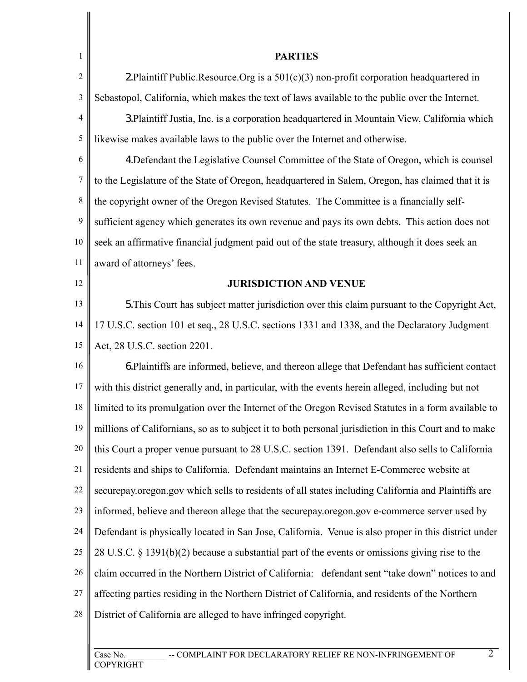| $\mathbf{1}$     | <b>PARTIES</b>                                                                                        |
|------------------|-------------------------------------------------------------------------------------------------------|
| $\overline{2}$   | 2. Plaintiff Public. Resource. Org is a $501(c)(3)$ non-profit corporation headquartered in           |
| $\mathfrak{Z}$   | Sebastopol, California, which makes the text of laws available to the public over the Internet.       |
| 4                | 3. Plaintiff Justia, Inc. is a corporation headquartered in Mountain View, California which           |
| 5                | likewise makes available laws to the public over the Internet and otherwise.                          |
| 6                | 4. Defendant the Legislative Counsel Committee of the State of Oregon, which is counsel               |
| $\boldsymbol{7}$ | to the Legislature of the State of Oregon, headquartered in Salem, Oregon, has claimed that it is     |
| $\,$ $\,$        | the copyright owner of the Oregon Revised Statutes. The Committee is a financially self-              |
| 9                | sufficient agency which generates its own revenue and pays its own debts. This action does not        |
| 10               | seek an affirmative financial judgment paid out of the state treasury, although it does seek an       |
| 11               | award of attorneys' fees.                                                                             |
| 12               | <b>JURISDICTION AND VENUE</b>                                                                         |
| 13               | 5. This Court has subject matter jurisdiction over this claim pursuant to the Copyright Act,          |
| 14               | 17 U.S.C. section 101 et seq., 28 U.S.C. sections 1331 and 1338, and the Declaratory Judgment         |
| 15               | Act, 28 U.S.C. section 2201.                                                                          |
| 16               | 6. Plaintiffs are informed, believe, and thereon allege that Defendant has sufficient contact         |
| 17               | with this district generally and, in particular, with the events herein alleged, including but not    |
| 18               | limited to its promulgation over the Internet of the Oregon Revised Statutes in a form available to   |
| 19               | millions of Californians, so as to subject it to both personal jurisdiction in this Court and to make |
| 20               | this Court a proper venue pursuant to 28 U.S.C. section 1391. Defendant also sells to California      |
| 21               | residents and ships to California. Defendant maintains an Internet E-Commerce website at              |
| 22               | secure pay oregon gov which sells to residents of all states including California and Plaintiffs are  |
| 23               | informed, believe and thereon allege that the securepay.oregon.gov e-commerce server used by          |
| 24               | Defendant is physically located in San Jose, California. Venue is also proper in this district under  |
| 25               | 28 U.S.C. $\S$ 1391(b)(2) because a substantial part of the events or omissions giving rise to the    |
| 26               | claim occurred in the Northern District of California: defendant sent "take down" notices to and      |
| 27               | affecting parties residing in the Northern District of California, and residents of the Northern      |
| 28               | District of California are alleged to have infringed copyright.                                       |
|                  |                                                                                                       |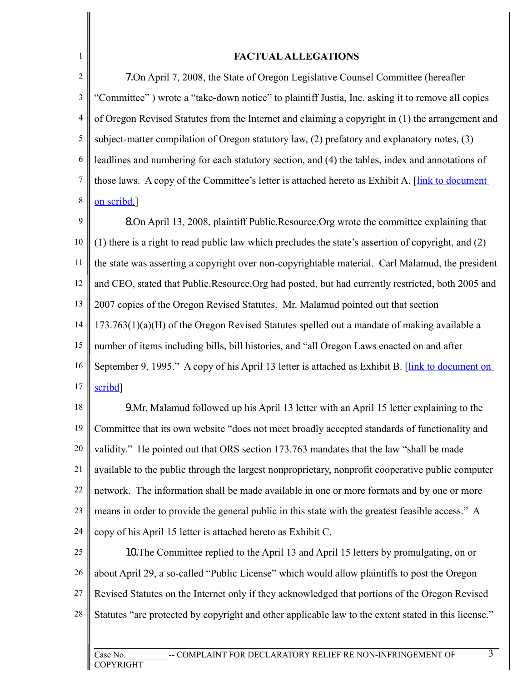## **FACTUAL ALLEGATIONS**

1

2 3 4 5 6 7 8 7.On April 7, 2008, the State of Oregon Legislative Counsel Committee (hereafter "Committee" ) wrote a "take-down notice" to plaintiff Justia, Inc. asking it to remove all copies of Oregon Revised Statutes from the Internet and claiming a copyright in (1) the arrangement and subject-matter compilation of Oregon statutory law, (2) prefatory and explanatory notes, (3) leadlines and numbering for each statutory section, and (4) the tables, index and annotations of those laws. A copy of the Committee's letter is attached hereto as Exhibit A. [\[link to document](http://www.scribd.com/doc/2526821/Notice-of-Copyright-Infringement-and-Demand-to-Cease-and-Desist) [on scribd.\]](http://www.scribd.com/doc/2526821/Notice-of-Copyright-Infringement-and-Demand-to-Cease-and-Desist)

9 10 11 12 13 14 15 16 17 8.On April 13, 2008, plaintiff Public.Resource.Org wrote the committee explaining that (1) there is a right to read public law which precludes the state's assertion of copyright, and (2) the state was asserting a copyright over non-copyrightable material. Carl Malamud, the president and CEO, stated that Public.Resource.Org had posted, but had currently restricted, both 2005 and 2007 copies of the Oregon Revised Statutes. Mr. Malamud pointed out that section 173.763(1)(a)(H) of the Oregon Revised Statutes spelled out a mandate of making available a number of items including bills, bill histories, and "all Oregon Laws enacted on and after September 9, 1995." A copy of his April 13 letter is attached as Exhibit B. [\[link to document on](http://www.scribd.com/doc/2530912/The-Honorable-Dexter-A-Johnson) [scribd\]](http://www.scribd.com/doc/2530912/The-Honorable-Dexter-A-Johnson)

18 19 20 21 22 23 24 9.Mr. Malamud followed up his April 13 letter with an April 15 letter explaining to the Committee that its own website "does not meet broadly accepted standards of functionality and validity." He pointed out that ORS section 173.763 mandates that the law "shall be made available to the public through the largest nonproprietary, nonprofit cooperative public computer network. The information shall be made available in one or more formats and by one or more means in order to provide the general public in this state with the greatest feasible access." A copy of his April 15 letter is attached hereto as Exhibit C.

25 26 27 28 10.The Committee replied to the April 13 and April 15 letters by promulgating, on or about April 29, a so-called "Public License" which would allow plaintiffs to post the Oregon Revised Statutes on the Internet only if they acknowledged that portions of the Oregon Revised Statutes "are protected by copyright and other applicable law to the extent stated in this license."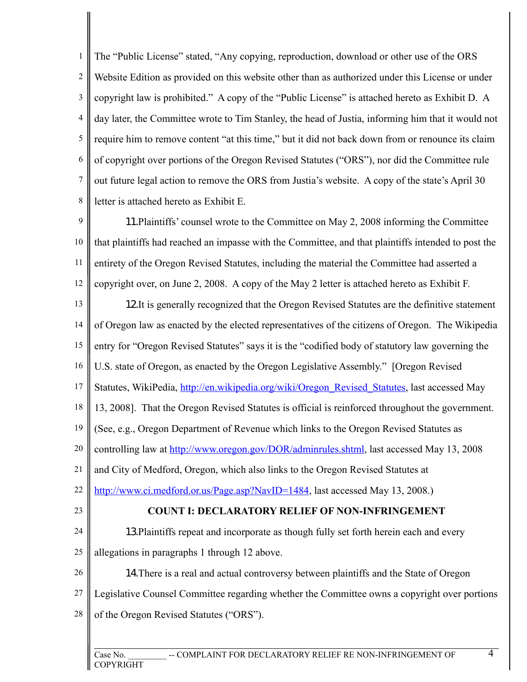1 2 3 4 5 6 7 8 The "Public License" stated, "Any copying, reproduction, download or other use of the ORS Website Edition as provided on this website other than as authorized under this License or under copyright law is prohibited." A copy of the "Public License" is attached hereto as Exhibit D. A day later, the Committee wrote to Tim Stanley, the head of Justia, informing him that it would not require him to remove content "at this time," but it did not back down from or renounce its claim of copyright over portions of the Oregon Revised Statutes ("ORS"), nor did the Committee rule out future legal action to remove the ORS from Justia's website. A copy of the state's April 30 letter is attached hereto as Exhibit E.

9 10 11 12 11.Plaintiffs' counsel wrote to the Committee on May 2, 2008 informing the Committee that plaintiffs had reached an impasse with the Committee, and that plaintiffs intended to post the entirety of the Oregon Revised Statutes, including the material the Committee had asserted a copyright over, on June 2, 2008. A copy of the May 2 letter is attached hereto as Exhibit F.

13 14 15 16 17 18 19 20 21 22 23 24 25 26 27 28 12.It is generally recognized that the Oregon Revised Statutes are the definitive statement of Oregon law as enacted by the elected representatives of the citizens of Oregon. The Wikipedia entry for "Oregon Revised Statutes" says it is the "codified body of statutory law governing the U.S. state of Oregon, as enacted by the Oregon Legislative Assembly." [Oregon Revised Statutes, WikiPedia, [http://en.wikipedia.org/wiki/Oregon\\_Revised\\_Statutes,](http://en.wikipedia.org/wiki/Oregon_Revised_Statutes) last accessed May 13, 2008]. That the Oregon Revised Statutes is official is reinforced throughout the government. (See, e.g., Oregon Department of Revenue which links to the Oregon Revised Statutes as controlling law at [http://www.oregon.gov/DOR/adminrules.shtml,](http://www.oregon.gov/DOR/adminrules.shtml) last accessed May 13, 2008 and City of Medford, Oregon, which also links to the Oregon Revised Statutes at [http://www.ci.medford.or.us/Page.asp?NavID=1484,](http://www.ci.medford.or.us/Page.asp?NavID=1484) last accessed May 13, 2008.) **COUNT I: DECLARATORY RELIEF OF NON-INFRINGEMENT** 13.Plaintiffs repeat and incorporate as though fully set forth herein each and every allegations in paragraphs 1 through 12 above. 14.There is a real and actual controversy between plaintiffs and the State of Oregon Legislative Counsel Committee regarding whether the Committee owns a copyright over portions of the Oregon Revised Statutes ("ORS").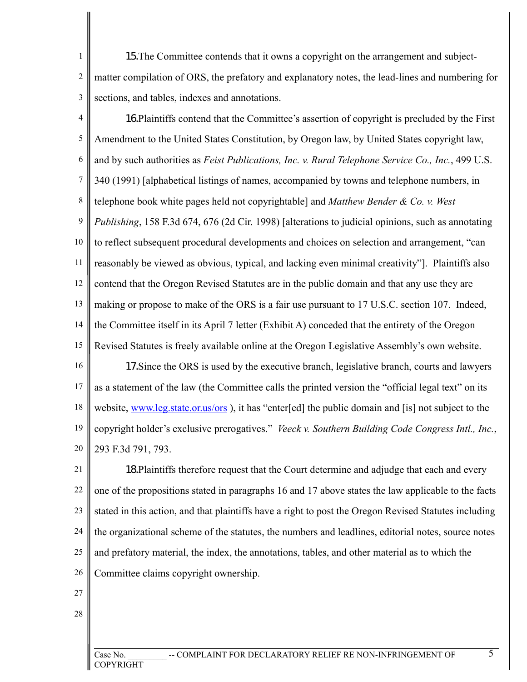1 2 3 15.The Committee contends that it owns a copyright on the arrangement and subjectmatter compilation of ORS, the prefatory and explanatory notes, the lead-lines and numbering for sections, and tables, indexes and annotations.

4 5 6 7 8 9 10 11 12 13 14 15 16.Plaintiffs contend that the Committee's assertion of copyright is precluded by the First Amendment to the United States Constitution, by Oregon law, by United States copyright law, and by such authorities as *Feist Publications, Inc. v. Rural Telephone Service Co., Inc.*, 499 U.S. 340 (1991) [alphabetical listings of names, accompanied by towns and telephone numbers, in telephone book white pages held not copyrightable] and *Matthew Bender & Co. v. West Publishing*, 158 F.3d 674, 676 (2d Cir. 1998) [alterations to judicial opinions, such as annotating to reflect subsequent procedural developments and choices on selection and arrangement, "can reasonably be viewed as obvious, typical, and lacking even minimal creativity"]. Plaintiffs also contend that the Oregon Revised Statutes are in the public domain and that any use they are making or propose to make of the ORS is a fair use pursuant to 17 U.S.C. section 107. Indeed, the Committee itself in its April 7 letter (Exhibit A) conceded that the entirety of the Oregon Revised Statutes is freely available online at the Oregon Legislative Assembly's own website.

16 17 18 19 20 17.Since the ORS is used by the executive branch, legislative branch, courts and lawyers as a statement of the law (the Committee calls the printed version the "official legal text" on its website, www.leg.state.or.us/ors), it has "enter[ed] the public domain and [is] not subject to the copyright holder's exclusive prerogatives." *Veeck v. Southern Building Code Congress Intl., Inc.*, 293 F.3d 791, 793.

21 22 23 24 25 26 18.Plaintiffs therefore request that the Court determine and adjudge that each and every one of the propositions stated in paragraphs 16 and 17 above states the law applicable to the facts stated in this action, and that plaintiffs have a right to post the Oregon Revised Statutes including the organizational scheme of the statutes, the numbers and leadlines, editorial notes, source notes and prefatory material, the index, the annotations, tables, and other material as to which the Committee claims copyright ownership.

- 27
- 28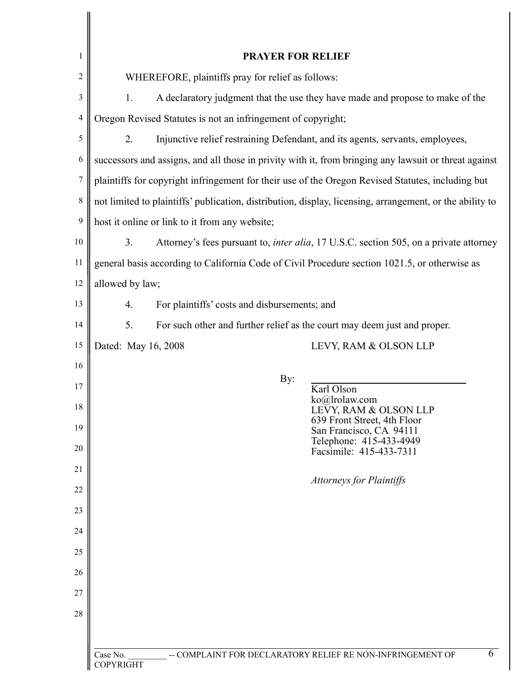| 1              | <b>PRAYER FOR RELIEF</b>                                                                                 |                                                                 |  |
|----------------|----------------------------------------------------------------------------------------------------------|-----------------------------------------------------------------|--|
| $\overline{c}$ | WHEREFORE, plaintiffs pray for relief as follows:                                                        |                                                                 |  |
| 3              | 1.<br>A declaratory judgment that the use they have made and propose to make of the                      |                                                                 |  |
| 4              | Oregon Revised Statutes is not an infringement of copyright;                                             |                                                                 |  |
| 5              | 2.<br>Injunctive relief restraining Defendant, and its agents, servants, employees,                      |                                                                 |  |
| 6              | successors and assigns, and all those in privity with it, from bringing any lawsuit or threat against    |                                                                 |  |
| $\overline{7}$ | plaintiffs for copyright infringement for their use of the Oregon Revised Statutes, including but        |                                                                 |  |
| 8              | not limited to plaintiffs' publication, distribution, display, licensing, arrangement, or the ability to |                                                                 |  |
| 9              | host it online or link to it from any website;                                                           |                                                                 |  |
| 10             | 3.<br>Attorney's fees pursuant to, <i>inter alia</i> , 17 U.S.C. section 505, on a private attorney      |                                                                 |  |
| 11             | general basis according to California Code of Civil Procedure section 1021.5, or otherwise as            |                                                                 |  |
| 12             | allowed by law;                                                                                          |                                                                 |  |
| 13             | $\overline{4}$ .                                                                                         | For plaintiffs' costs and disbursements; and                    |  |
| 14             | 5 <sub>1</sub><br>For such other and further relief as the court may deem just and proper.               |                                                                 |  |
| 15             | Dated: May 16, 2008                                                                                      | LEVY, RAM & OLSON LLP                                           |  |
| 16             |                                                                                                          |                                                                 |  |
| 17             |                                                                                                          | By:<br>Karl Olson                                               |  |
| 18             |                                                                                                          | ko@lrolaw.com<br>LEVY, RAM & OLSON LLP                          |  |
| 19             |                                                                                                          | 639 Front Street, 4th Floor<br>San Francisco, CA 94111          |  |
| 20             |                                                                                                          | Telephone: 415-433-4949<br>Facsimile: 415-433-7311              |  |
| 21             |                                                                                                          |                                                                 |  |
| 22             |                                                                                                          | <b>Attorneys for Plaintiffs</b>                                 |  |
| 23             |                                                                                                          |                                                                 |  |
| 24             |                                                                                                          |                                                                 |  |
| 25             |                                                                                                          |                                                                 |  |
| 26             |                                                                                                          |                                                                 |  |
| 27             |                                                                                                          |                                                                 |  |
| 28             |                                                                                                          |                                                                 |  |
|                |                                                                                                          |                                                                 |  |
|                | Case No.<br>COPYRIGHT                                                                                    | 6<br>-- COMPLAINT FOR DECLARATORY RELIEF RE NON-INFRINGEMENT OF |  |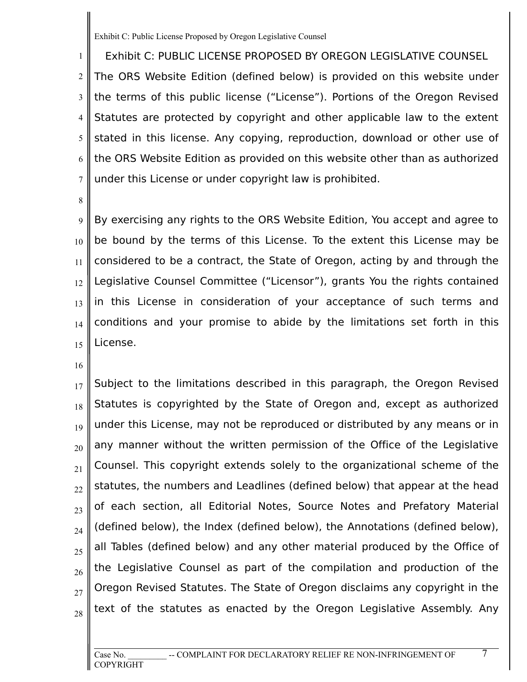1 2 3 4 5 6 7 Exhibit C: PUBLIC LICENSE PROPOSED BY OREGON LEGISLATIVE COUNSEL The ORS Website Edition (defined below) is provided on this website under the terms of this public license ("License"). Portions of the Oregon Revised Statutes are protected by copyright and other applicable law to the extent stated in this license. Any copying, reproduction, download or other use of the ORS Website Edition as provided on this website other than as authorized under this License or under copyright law is prohibited.

8

9 10 11 12 13 14 15 By exercising any rights to the ORS Website Edition, You accept and agree to be bound by the terms of this License. To the extent this License may be considered to be a contract, the State of Oregon, acting by and through the Legislative Counsel Committee ("Licensor"), grants You the rights contained in this License in consideration of your acceptance of such terms and conditions and your promise to abide by the limitations set forth in this License.

16

17 18 19 20 21 22 23 24 25 26 27 Subject to the limitations described in this paragraph, the Oregon Revised Statutes is copyrighted by the State of Oregon and, except as authorized under this License, may not be reproduced or distributed by any means or in any manner without the written permission of the Office of the Legislative Counsel. This copyright extends solely to the organizational scheme of the statutes, the numbers and Leadlines (defined below) that appear at the head of each section, all Editorial Notes, Source Notes and Prefatory Material (defined below), the Index (defined below), the Annotations (defined below), all Tables (defined below) and any other material produced by the Office of the Legislative Counsel as part of the compilation and production of the Oregon Revised Statutes. The State of Oregon disclaims any copyright in the text of the statutes as enacted by the Oregon Legislative Assembly. Any

28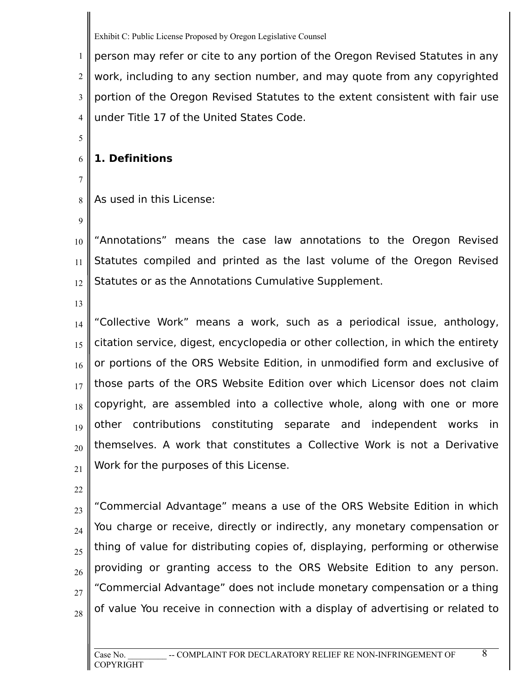1 2 3 4 person may refer or cite to any portion of the Oregon Revised Statutes in any work, including to any section number, and may quote from any copyrighted portion of the Oregon Revised Statutes to the extent consistent with fair use under Title 17 of the United States Code.

## 6 **1. Definitions**

8 As used in this License:

9

5

7

10 11 12 "Annotations" means the case law annotations to the Oregon Revised Statutes compiled and printed as the last volume of the Oregon Revised Statutes or as the Annotations Cumulative Supplement.

13

14 15 16 17 18 19 20 21 "Collective Work" means a work, such as a periodical issue, anthology, citation service, digest, encyclopedia or other collection, in which the entirety or portions of the ORS Website Edition, in unmodified form and exclusive of those parts of the ORS Website Edition over which Licensor does not claim copyright, are assembled into a collective whole, along with one or more other contributions constituting separate and independent works in themselves. A work that constitutes a Collective Work is not a Derivative Work for the purposes of this License.

22

23 24 25 26 27 28 "Commercial Advantage" means a use of the ORS Website Edition in which You charge or receive, directly or indirectly, any monetary compensation or thing of value for distributing copies of, displaying, performing or otherwise providing or granting access to the ORS Website Edition to any person. "Commercial Advantage" does not include monetary compensation or a thing of value You receive in connection with a display of advertising or related to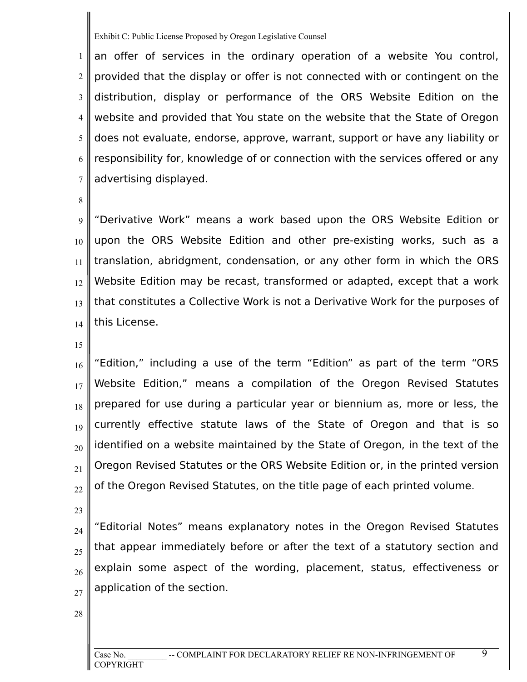1 2 3 4 5 6 7 an offer of services in the ordinary operation of a website You control, provided that the display or offer is not connected with or contingent on the distribution, display or performance of the ORS Website Edition on the website and provided that You state on the website that the State of Oregon does not evaluate, endorse, approve, warrant, support or have any liability or responsibility for, knowledge of or connection with the services offered or any advertising displayed.

8

9 10 11 12 13 14 "Derivative Work" means a work based upon the ORS Website Edition or upon the ORS Website Edition and other pre-existing works, such as a translation, abridgment, condensation, or any other form in which the ORS Website Edition may be recast, transformed or adapted, except that a work that constitutes a Collective Work is not a Derivative Work for the purposes of this License.

15

16 17 18 19 20 21 22 "Edition," including a use of the term "Edition" as part of the term "ORS Website Edition," means a compilation of the Oregon Revised Statutes prepared for use during a particular year or biennium as, more or less, the currently effective statute laws of the State of Oregon and that is so identified on a website maintained by the State of Oregon, in the text of the Oregon Revised Statutes or the ORS Website Edition or, in the printed version of the Oregon Revised Statutes, on the title page of each printed volume.

23

24 25 26 27 "Editorial Notes" means explanatory notes in the Oregon Revised Statutes that appear immediately before or after the text of a statutory section and explain some aspect of the wording, placement, status, effectiveness or application of the section.

28

 $\overline{\mathbf{Q}}$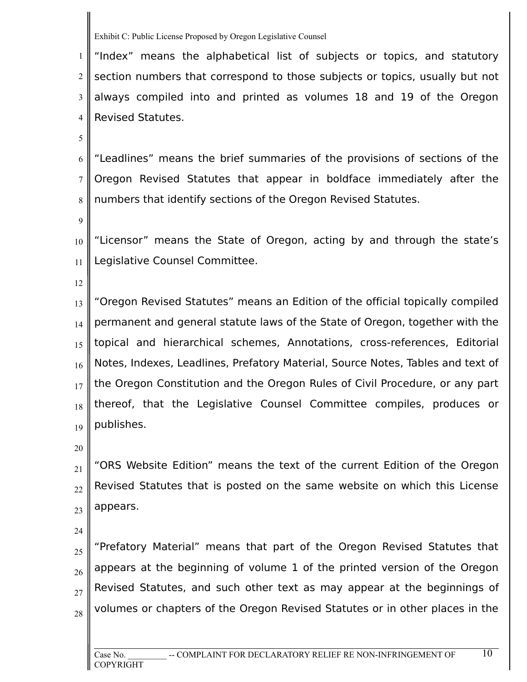1 2 3 4 "Index" means the alphabetical list of subjects or topics, and statutory section numbers that correspond to those subjects or topics, usually but not always compiled into and printed as volumes 18 and 19 of the Oregon Revised Statutes.

5

6 7 8 "Leadlines" means the brief summaries of the provisions of sections of the Oregon Revised Statutes that appear in boldface immediately after the numbers that identify sections of the Oregon Revised Statutes.

9

10 11 "Licensor" means the State of Oregon, acting by and through the state's Legislative Counsel Committee.

12

13 14 15 16 17 18 19 "Oregon Revised Statutes" means an Edition of the official topically compiled permanent and general statute laws of the State of Oregon, together with the topical and hierarchical schemes, Annotations, cross-references, Editorial Notes, Indexes, Leadlines, Prefatory Material, Source Notes, Tables and text of the Oregon Constitution and the Oregon Rules of Civil Procedure, or any part thereof, that the Legislative Counsel Committee compiles, produces or publishes.

20

21 22 23 "ORS Website Edition" means the text of the current Edition of the Oregon Revised Statutes that is posted on the same website on which this License appears.

24

25 26 27 28 "Prefatory Material" means that part of the Oregon Revised Statutes that appears at the beginning of volume 1 of the printed version of the Oregon Revised Statutes, and such other text as may appear at the beginnings of volumes or chapters of the Oregon Revised Statutes or in other places in the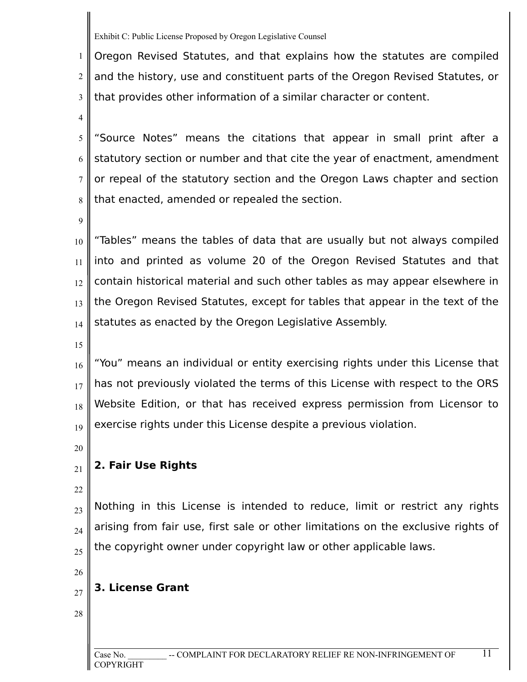1 2 3 Oregon Revised Statutes, and that explains how the statutes are compiled and the history, use and constituent parts of the Oregon Revised Statutes, or that provides other information of a similar character or content.

4

6

5 7 "Source Notes" means the citations that appear in small print after a statutory section or number and that cite the year of enactment, amendment or repeal of the statutory section and the Oregon Laws chapter and section that enacted, amended or repealed the section.

9

8

10 11 12 13 14 "Tables" means the tables of data that are usually but not always compiled into and printed as volume 20 of the Oregon Revised Statutes and that contain historical material and such other tables as may appear elsewhere in the Oregon Revised Statutes, except for tables that appear in the text of the statutes as enacted by the Oregon Legislative Assembly.

15

16 17 18 19 "You" means an individual or entity exercising rights under this License that has not previously violated the terms of this License with respect to the ORS Website Edition, or that has received express permission from Licensor to exercise rights under this License despite a previous violation.

20

21

# **2. Fair Use Rights**

22

23

24

25

Nothing in this License is intended to reduce, limit or restrict any rights arising from fair use, first sale or other limitations on the exclusive rights of the copyright owner under copyright law or other applicable laws.

26

27

# **3. License Grant**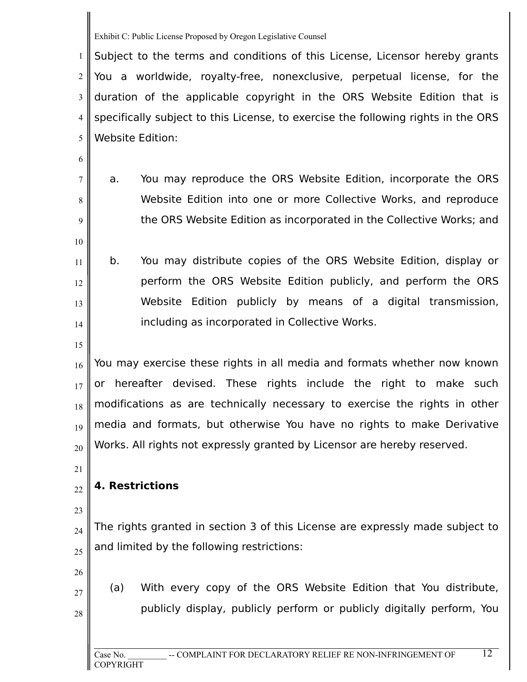1 2 3 4 5 Subject to the terms and conditions of this License, Licensor hereby grants You a worldwide, royalty-free, nonexclusive, perpetual license, for the duration of the applicable copyright in the ORS Website Edition that is specifically subject to this License, to exercise the following rights in the ORS Website Edition:

7 8

9

10

6

a. You may reproduce the ORS Website Edition, incorporate the ORS Website Edition into one or more Collective Works, and reproduce the ORS Website Edition as incorporated in the Collective Works; and

- 11 12 13 14 b. You may distribute copies of the ORS Website Edition, display or perform the ORS Website Edition publicly, and perform the ORS Website Edition publicly by means of a digital transmission, including as incorporated in Collective Works.
- 15

17

19

20

16 18 You may exercise these rights in all media and formats whether now known or hereafter devised. These rights include the right to make such modifications as are technically necessary to exercise the rights in other media and formats, but otherwise You have no rights to make Derivative Works. All rights not expressly granted by Licensor are hereby reserved.

21

## 22 **4. Restrictions**

23

24 25 The rights granted in section 3 of this License are expressly made subject to and limited by the following restrictions:

- 26
- 27

28

(a) With every copy of the ORS Website Edition that You distribute, publicly display, publicly perform or publicly digitally perform, You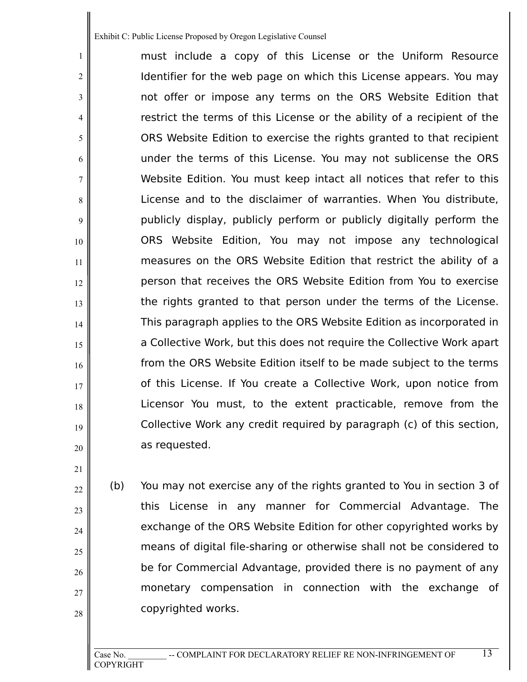1

2

3

4

5

6

7

8

9

10

11

12

13

14

15

16

17

18

19

20

21

22

23

24

25

26

27

28

must include a copy of this License or the Uniform Resource Identifier for the web page on which this License appears. You may not offer or impose any terms on the ORS Website Edition that restrict the terms of this License or the ability of a recipient of the ORS Website Edition to exercise the rights granted to that recipient under the terms of this License. You may not sublicense the ORS Website Edition. You must keep intact all notices that refer to this License and to the disclaimer of warranties. When You distribute, publicly display, publicly perform or publicly digitally perform the ORS Website Edition, You may not impose any technological measures on the ORS Website Edition that restrict the ability of a person that receives the ORS Website Edition from You to exercise the rights granted to that person under the terms of the License. This paragraph applies to the ORS Website Edition as incorporated in a Collective Work, but this does not require the Collective Work apart from the ORS Website Edition itself to be made subject to the terms of this License. If You create a Collective Work, upon notice from Licensor You must, to the extent practicable, remove from the Collective Work any credit required by paragraph (c) of this section, as requested.

(b) You may not exercise any of the rights granted to You in section 3 of this License in any manner for Commercial Advantage. The exchange of the ORS Website Edition for other copyrighted works by means of digital file-sharing or otherwise shall not be considered to be for Commercial Advantage, provided there is no payment of any monetary compensation in connection with the exchange of copyrighted works.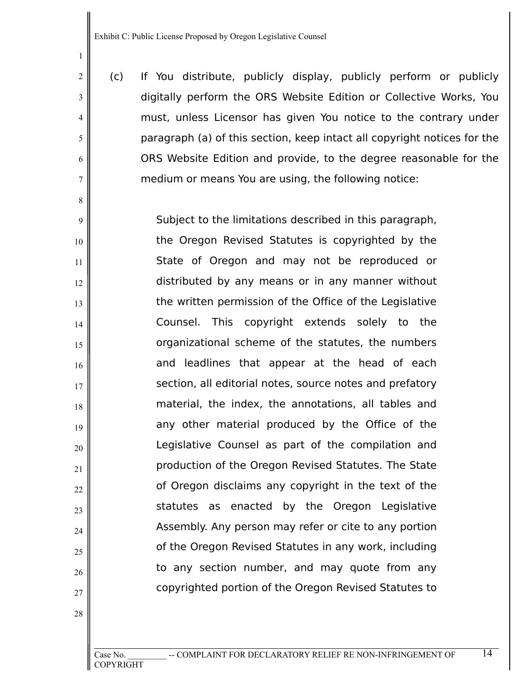1

2

3

4

5

6

7

8

9

10

11

12

13

14

15

16

17

18

19

20

21

22

23

24

25

26

27

28

(c) If You distribute, publicly display, publicly perform or publicly digitally perform the ORS Website Edition or Collective Works, You must, unless Licensor has given You notice to the contrary under paragraph (a) of this section, keep intact all copyright notices for the ORS Website Edition and provide, to the degree reasonable for the medium or means You are using, the following notice:

Subject to the limitations described in this paragraph, the Oregon Revised Statutes is copyrighted by the State of Oregon and may not be reproduced or distributed by any means or in any manner without the written permission of the Office of the Legislative Counsel. This copyright extends solely to the organizational scheme of the statutes, the numbers and leadlines that appear at the head of each section, all editorial notes, source notes and prefatory material, the index, the annotations, all tables and any other material produced by the Office of the Legislative Counsel as part of the compilation and production of the Oregon Revised Statutes. The State of Oregon disclaims any copyright in the text of the statutes as enacted by the Oregon Legislative Assembly. Any person may refer or cite to any portion of the Oregon Revised Statutes in any work, including to any section number, and may quote from any copyrighted portion of the Oregon Revised Statutes to

COPYRIGHT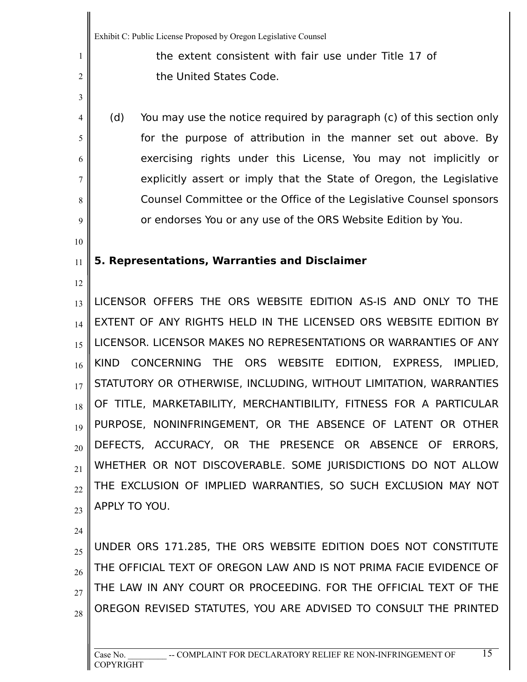the extent consistent with fair use under Title 17 of the United States Code.

(d) You may use the notice required by paragraph (c) of this section only for the purpose of attribution in the manner set out above. By exercising rights under this License, You may not implicitly or explicitly assert or imply that the State of Oregon, the Legislative Counsel Committee or the Office of the Legislative Counsel sponsors or endorses You or any use of the ORS Website Edition by You.

### 11 **5. Representations, Warranties and Disclaimer**

12

1

2

3

4

5

6

7

8

9

10

13 14 15 16 17 18 19 20 21 22 23 LICENSOR OFFERS THE ORS WEBSITE EDITION AS-IS AND ONLY TO THE EXTENT OF ANY RIGHTS HELD IN THE LICENSED ORS WEBSITE EDITION BY LICENSOR. LICENSOR MAKES NO REPRESENTATIONS OR WARRANTIES OF ANY KIND CONCERNING THE ORS WEBSITE EDITION, EXPRESS, IMPLIED, STATUTORY OR OTHERWISE, INCLUDING, WITHOUT LIMITATION, WARRANTIES OF TITLE, MARKETABILITY, MERCHANTIBILITY, FITNESS FOR A PARTICULAR PURPOSE, NONINFRINGEMENT, OR THE ABSENCE OF LATENT OR OTHER DEFECTS, ACCURACY, OR THE PRESENCE OR ABSENCE OF ERRORS, WHETHER OR NOT DISCOVERABLE. SOME JURISDICTIONS DO NOT ALLOW THE EXCLUSION OF IMPLIED WARRANTIES, SO SUCH EXCLUSION MAY NOT APPLY TO YOU.

24

25 26 27 28 UNDER ORS 171.285, THE ORS WEBSITE EDITION DOES NOT CONSTITUTE THE OFFICIAL TEXT OF OREGON LAW AND IS NOT PRIMA FACIE EVIDENCE OF THE LAW IN ANY COURT OR PROCEEDING. FOR THE OFFICIAL TEXT OF THE OREGON REVISED STATUTES, YOU ARE ADVISED TO CONSULT THE PRINTED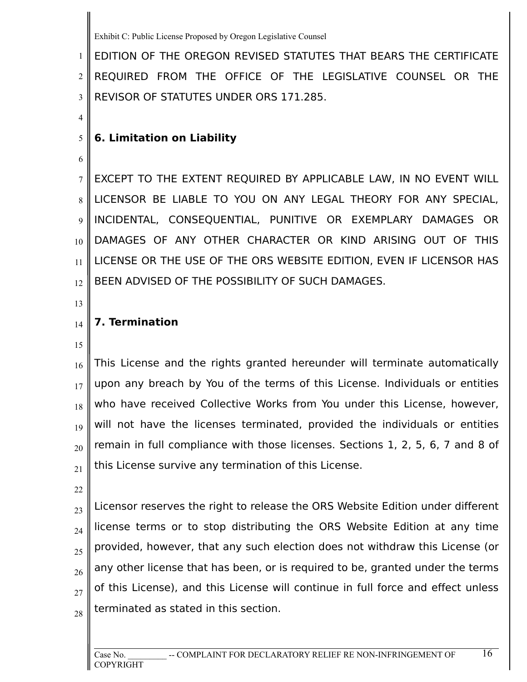1 2 3 EDITION OF THE OREGON REVISED STATUTES THAT BEARS THE CERTIFICATE REQUIRED FROM THE OFFICE OF THE LEGISLATIVE COUNSEL OR THE REVISOR OF STATUTES UNDER ORS 171.285.

# **6. Limitation on Liability**

7 8 12 EXCEPT TO THE EXTENT REQUIRED BY APPLICABLE LAW, IN NO EVENT WILL LICENSOR BE LIABLE TO YOU ON ANY LEGAL THEORY FOR ANY SPECIAL, INCIDENTAL, CONSEQUENTIAL, PUNITIVE OR EXEMPLARY DAMAGES OR DAMAGES OF ANY OTHER CHARACTER OR KIND ARISING OUT OF THIS LICENSE OR THE USE OF THE ORS WEBSITE EDITION, EVEN IF LICENSOR HAS BEEN ADVISED OF THE POSSIBILITY OF SUCH DAMAGES.

13

4

5

6

9

10

11

## **7. Termination**

15

14

16 17 18 19 20 21 This License and the rights granted hereunder will terminate automatically upon any breach by You of the terms of this License. Individuals or entities who have received Collective Works from You under this License, however, will not have the licenses terminated, provided the individuals or entities remain in full compliance with those licenses. Sections 1, 2, 5, 6, 7 and 8 of this License survive any termination of this License.

22

23 24 25 26 27 28 Licensor reserves the right to release the ORS Website Edition under different license terms or to stop distributing the ORS Website Edition at any time provided, however, that any such election does not withdraw this License (or any other license that has been, or is required to be, granted under the terms of this License), and this License will continue in full force and effect unless terminated as stated in this section.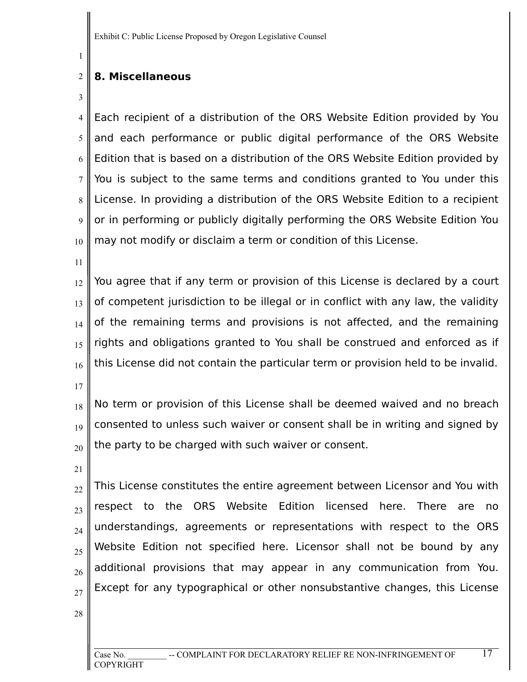### 2 **8. Miscellaneous**

3

1

4 5 6 7 8 9 10 Each recipient of a distribution of the ORS Website Edition provided by You and each performance or public digital performance of the ORS Website Edition that is based on a distribution of the ORS Website Edition provided by You is subject to the same terms and conditions granted to You under this License. In providing a distribution of the ORS Website Edition to a recipient or in performing or publicly digitally performing the ORS Website Edition You may not modify or disclaim a term or condition of this License.

11

12 13 14 15 16 You agree that if any term or provision of this License is declared by a court of competent jurisdiction to be illegal or in conflict with any law, the validity of the remaining terms and provisions is not affected, and the remaining rights and obligations granted to You shall be construed and enforced as if this License did not contain the particular term or provision held to be invalid.

17

18 19 20 No term or provision of this License shall be deemed waived and no breach consented to unless such waiver or consent shall be in writing and signed by the party to be charged with such waiver or consent.

21

22 23 24 25 26 27 This License constitutes the entire agreement between Licensor and You with respect to the ORS Website Edition licensed here. There are no understandings, agreements or representations with respect to the ORS Website Edition not specified here. Licensor shall not be bound by any additional provisions that may appear in any communication from You. Except for any typographical or other nonsubstantive changes, this License